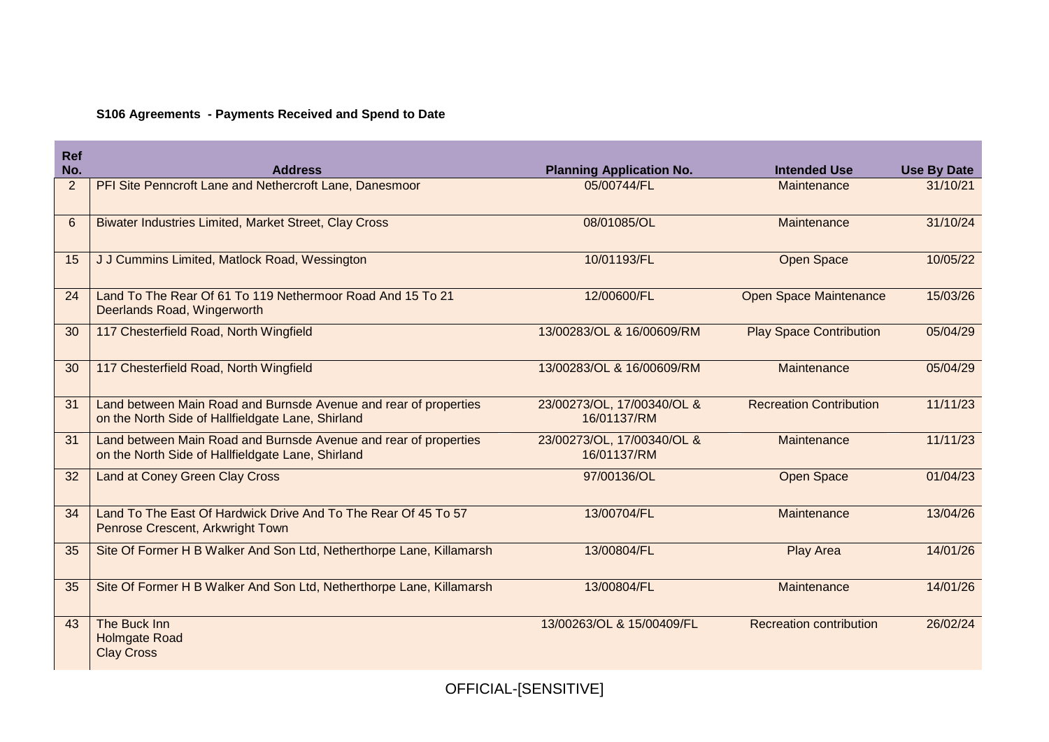## **S106 Agreements - Payments Received and Spend to Date**

| <b>Ref</b> |                                                                                                                       |                                           |                                |                    |
|------------|-----------------------------------------------------------------------------------------------------------------------|-------------------------------------------|--------------------------------|--------------------|
| No.        | <b>Address</b>                                                                                                        | <b>Planning Application No.</b>           | <b>Intended Use</b>            | <b>Use By Date</b> |
| 2          | PFI Site Penncroft Lane and Nethercroft Lane, Danesmoor                                                               | 05/00744/FL                               | Maintenance                    | 31/10/21           |
| 6          | <b>Biwater Industries Limited, Market Street, Clay Cross</b>                                                          | 08/01085/OL                               | Maintenance                    | 31/10/24           |
| 15         | J J Cummins Limited, Matlock Road, Wessington                                                                         | 10/01193/FL                               | <b>Open Space</b>              | 10/05/22           |
| 24         | Land To The Rear Of 61 To 119 Nethermoor Road And 15 To 21<br>Deerlands Road, Wingerworth                             | 12/00600/FL                               | <b>Open Space Maintenance</b>  | 15/03/26           |
| 30         | 117 Chesterfield Road, North Wingfield                                                                                | 13/00283/OL & 16/00609/RM                 | <b>Play Space Contribution</b> | 05/04/29           |
| 30         | 117 Chesterfield Road, North Wingfield                                                                                | 13/00283/OL & 16/00609/RM                 | Maintenance                    | 05/04/29           |
| 31         | Land between Main Road and Burnsde Avenue and rear of properties<br>on the North Side of Hallfieldgate Lane, Shirland | 23/00273/OL, 17/00340/OL &<br>16/01137/RM | <b>Recreation Contribution</b> | 11/11/23           |
| 31         | Land between Main Road and Burnsde Avenue and rear of properties<br>on the North Side of Hallfieldgate Lane, Shirland | 23/00273/OL, 17/00340/OL &<br>16/01137/RM | Maintenance                    | 11/11/23           |
| 32         | <b>Land at Coney Green Clay Cross</b>                                                                                 | 97/00136/OL                               | <b>Open Space</b>              | 01/04/23           |
| 34         | Land To The East Of Hardwick Drive And To The Rear Of 45 To 57<br>Penrose Crescent, Arkwright Town                    | 13/00704/FL                               | Maintenance                    | 13/04/26           |
| 35         | Site Of Former H B Walker And Son Ltd, Netherthorpe Lane, Killamarsh                                                  | 13/00804/FL                               | Play Area                      | 14/01/26           |
| 35         | Site Of Former H B Walker And Son Ltd, Netherthorpe Lane, Killamarsh                                                  | 13/00804/FL                               | Maintenance                    | 14/01/26           |
| 43         | The Buck Inn<br><b>Holmgate Road</b><br><b>Clay Cross</b>                                                             | 13/00263/OL & 15/00409/FL                 | <b>Recreation contribution</b> | 26/02/24           |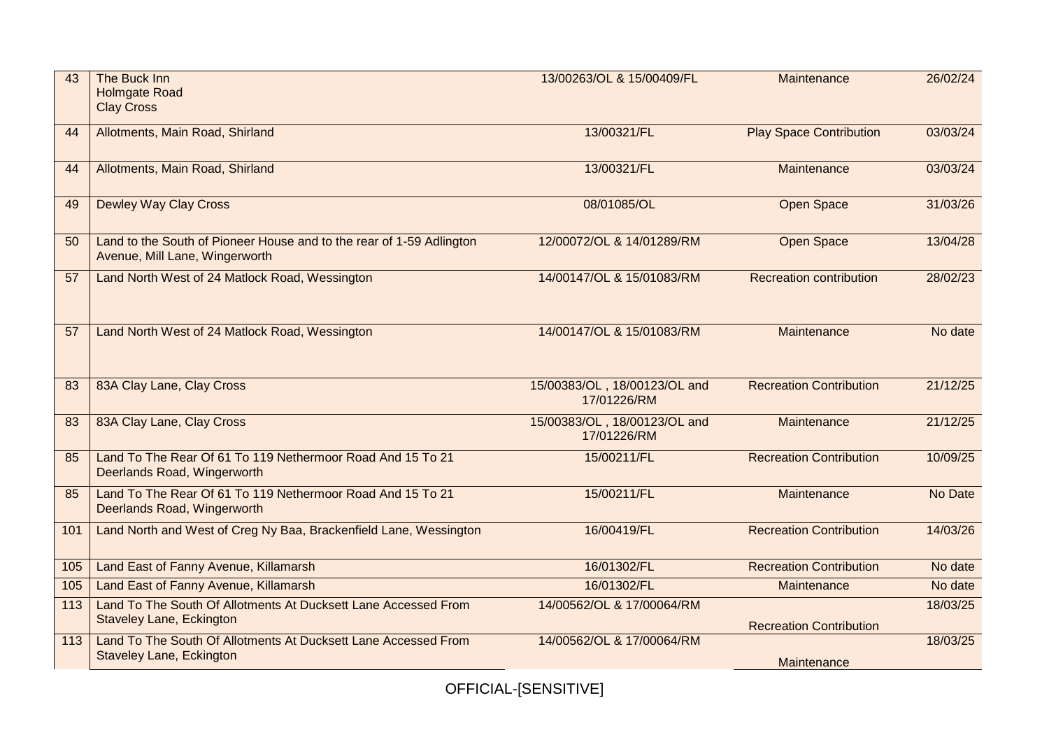| 43  | The Buck Inn<br><b>Holmgate Road</b><br><b>Clay Cross</b>                                              | 13/00263/OL & 15/00409/FL                   | Maintenance                    | 26/02/24 |  |
|-----|--------------------------------------------------------------------------------------------------------|---------------------------------------------|--------------------------------|----------|--|
| 44  | Allotments, Main Road, Shirland                                                                        | 13/00321/FL                                 | <b>Play Space Contribution</b> | 03/03/24 |  |
| 44  | Allotments, Main Road, Shirland                                                                        | 13/00321/FL                                 | Maintenance                    | 03/03/24 |  |
| 49  | <b>Dewley Way Clay Cross</b>                                                                           | 08/01085/OL                                 | <b>Open Space</b>              | 31/03/26 |  |
| 50  | Land to the South of Pioneer House and to the rear of 1-59 Adlington<br>Avenue, Mill Lane, Wingerworth | 12/00072/OL & 14/01289/RM                   | <b>Open Space</b>              | 13/04/28 |  |
| 57  | Land North West of 24 Matlock Road, Wessington                                                         | 14/00147/OL & 15/01083/RM                   | <b>Recreation contribution</b> | 28/02/23 |  |
| 57  | Land North West of 24 Matlock Road, Wessington                                                         | 14/00147/OL & 15/01083/RM                   | Maintenance                    | No date  |  |
| 83  | 83A Clay Lane, Clay Cross                                                                              | 15/00383/OL, 18/00123/OL and<br>17/01226/RM | <b>Recreation Contribution</b> | 21/12/25 |  |
| 83  | 83A Clay Lane, Clay Cross                                                                              | 15/00383/OL, 18/00123/OL and<br>17/01226/RM | Maintenance                    | 21/12/25 |  |
| 85  | Land To The Rear Of 61 To 119 Nethermoor Road And 15 To 21<br>Deerlands Road, Wingerworth              | 15/00211/FL                                 | <b>Recreation Contribution</b> | 10/09/25 |  |
| 85  | Land To The Rear Of 61 To 119 Nethermoor Road And 15 To 21<br>Deerlands Road, Wingerworth              | 15/00211/FL                                 | Maintenance                    | No Date  |  |
| 101 | Land North and West of Creg Ny Baa, Brackenfield Lane, Wessington                                      | 16/00419/FL                                 | <b>Recreation Contribution</b> | 14/03/26 |  |
| 105 | Land East of Fanny Avenue, Killamarsh                                                                  | 16/01302/FL                                 | <b>Recreation Contribution</b> | No date  |  |
| 105 | Land East of Fanny Avenue, Killamarsh                                                                  | 16/01302/FL                                 | Maintenance                    | No date  |  |
| 113 | Land To The South Of Allotments At Ducksett Lane Accessed From<br><b>Staveley Lane, Eckington</b>      | 14/00562/OL & 17/00064/RM                   | <b>Recreation Contribution</b> | 18/03/25 |  |
| 113 | Land To The South Of Allotments At Ducksett Lane Accessed From<br>Staveley Lane, Eckington             | 14/00562/OL & 17/00064/RM                   | Maintenance                    | 18/03/25 |  |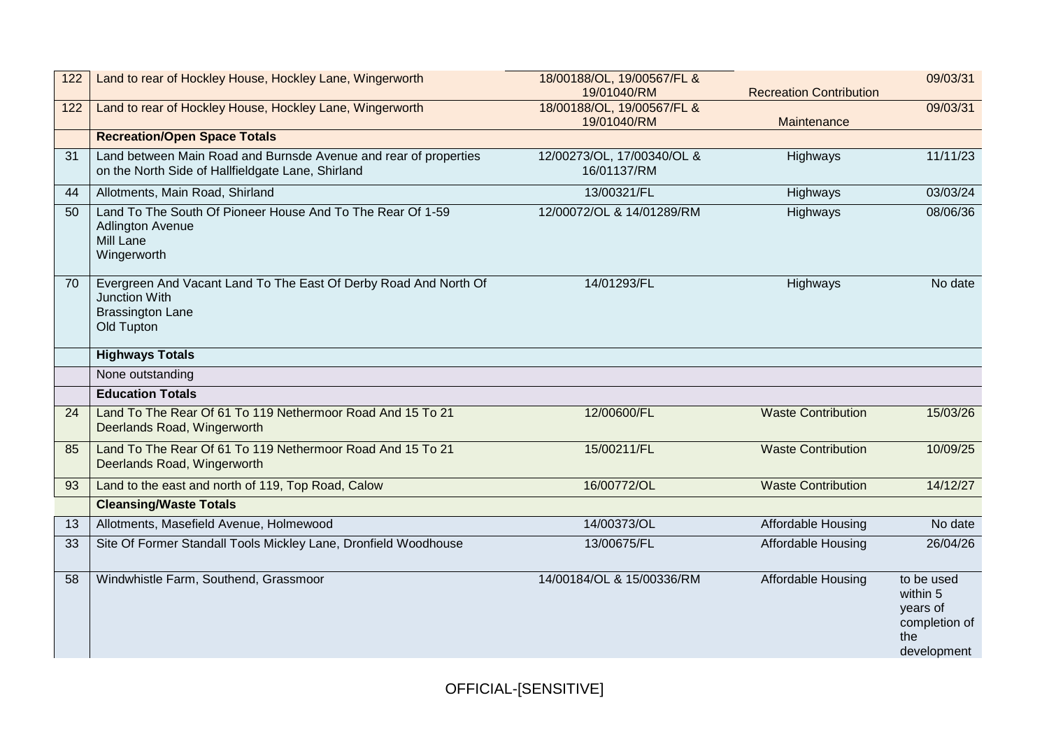| 122 | Land to rear of Hockley House, Hockley Lane, Wingerworth                                                                   | 18/00188/OL, 19/00567/FL &<br>19/01040/RM | <b>Recreation Contribution</b> | 09/03/31 |
|-----|----------------------------------------------------------------------------------------------------------------------------|-------------------------------------------|--------------------------------|----------|
| 122 | Land to rear of Hockley House, Hockley Lane, Wingerworth                                                                   | 18/00188/OL, 19/00567/FL &<br>19/01040/RM | Maintenance                    | 09/03/31 |
|     | <b>Recreation/Open Space Totals</b>                                                                                        |                                           |                                |          |
| 31  | Land between Main Road and Burnsde Avenue and rear of properties<br>on the North Side of Hallfieldgate Lane, Shirland      | 12/00273/OL, 17/00340/OL &<br>16/01137/RM | Highways                       | 11/11/23 |
| 44  | Allotments, Main Road, Shirland                                                                                            | 13/00321/FL                               | Highways                       | 03/03/24 |
| 50  | Land To The South Of Pioneer House And To The Rear Of 1-59<br><b>Adlington Avenue</b><br>Mill Lane<br>Wingerworth          | 12/00072/OL & 14/01289/RM                 | Highways                       | 08/06/36 |
| 70  | Evergreen And Vacant Land To The East Of Derby Road And North Of<br>Junction With<br><b>Brassington Lane</b><br>Old Tupton | 14/01293/FL                               | Highways                       | No date  |
|     | <b>Highways Totals</b>                                                                                                     |                                           |                                |          |
|     | None outstanding                                                                                                           |                                           |                                |          |
|     | <b>Education Totals</b>                                                                                                    |                                           |                                |          |
| 24  | Land To The Rear Of 61 To 119 Nethermoor Road And 15 To 21<br>Deerlands Road, Wingerworth                                  | 12/00600/FL                               | <b>Waste Contribution</b>      | 15/03/26 |
| 85  |                                                                                                                            |                                           |                                |          |
|     | Land To The Rear Of 61 To 119 Nethermoor Road And 15 To 21<br>Deerlands Road, Wingerworth                                  | 15/00211/FL                               | <b>Waste Contribution</b>      | 10/09/25 |
| 93  | Land to the east and north of 119, Top Road, Calow                                                                         | 16/00772/OL                               | <b>Waste Contribution</b>      | 14/12/27 |
|     | <b>Cleansing/Waste Totals</b>                                                                                              |                                           |                                |          |
| 13  | Allotments, Masefield Avenue, Holmewood                                                                                    | 14/00373/OL                               | Affordable Housing             | No date  |
| 33  | Site Of Former Standall Tools Mickley Lane, Dronfield Woodhouse                                                            | 13/00675/FL                               | Affordable Housing             | 26/04/26 |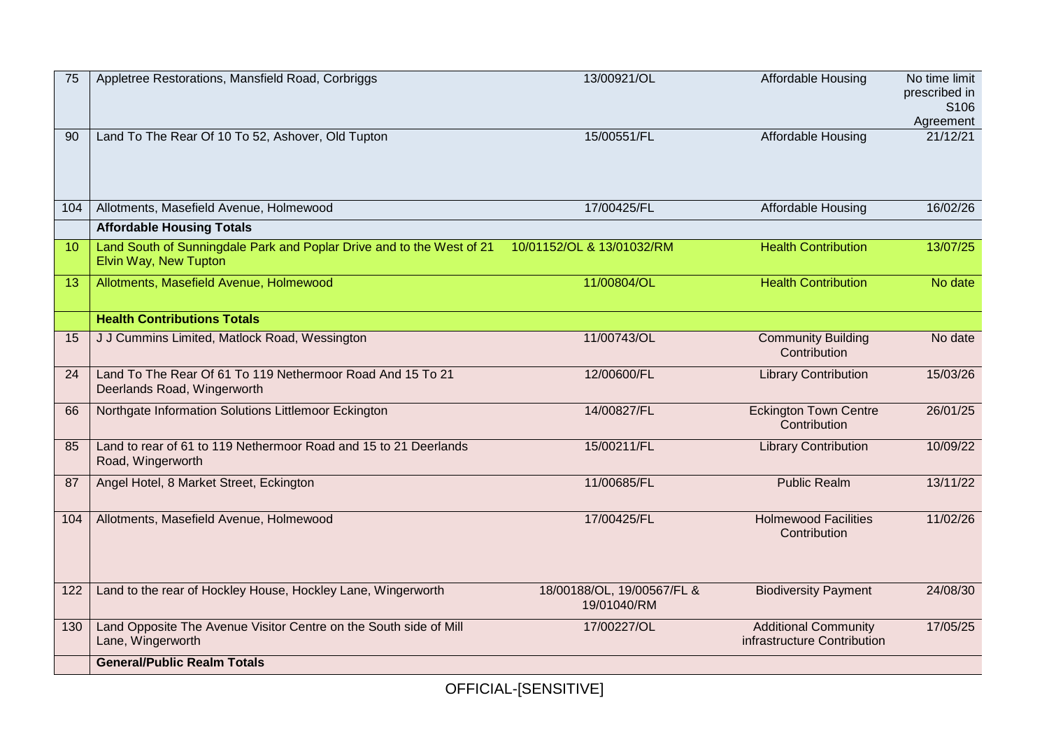| Land To The Rear Of 10 To 52, Ashover, Old Tupton<br>15/00551/FL<br><b>Affordable Housing</b><br>90<br>17/00425/FL<br>Affordable Housing<br>Allotments, Masefield Avenue, Holmewood<br>104<br><b>Affordable Housing Totals</b><br>Land South of Sunningdale Park and Poplar Drive and to the West of 21<br>10/01152/OL & 13/01032/RM<br><b>Health Contribution</b><br>10<br>Elvin Way, New Tupton<br>11/00804/OL<br><b>Health Contribution</b><br>Allotments, Masefield Avenue, Holmewood<br>13<br><b>Health Contributions Totals</b><br>11/00743/OL<br>J J Cummins Limited, Matlock Road, Wessington<br><b>Community Building</b><br>15<br>Contribution<br>Land To The Rear Of 61 To 119 Nethermoor Road And 15 To 21<br>12/00600/FL<br>24<br><b>Library Contribution</b><br>Deerlands Road, Wingerworth<br>14/00827/FL<br><b>Eckington Town Centre</b><br>Northgate Information Solutions Littlemoor Eckington<br>66<br>Contribution<br>Land to rear of 61 to 119 Nethermoor Road and 15 to 21 Deerlands<br>15/00211/FL<br><b>Library Contribution</b><br>85<br>Road, Wingerworth<br>Angel Hotel, 8 Market Street, Eckington<br>11/00685/FL<br><b>Public Realm</b><br>87<br><b>Holmewood Facilities</b><br>Allotments, Masefield Avenue, Holmewood<br>17/00425/FL<br>104<br>Contribution<br>Land to the rear of Hockley House, Hockley Lane, Wingerworth<br>18/00188/OL, 19/00567/FL &<br><b>Biodiversity Payment</b><br>122<br>19/01040/RM<br>Land Opposite The Avenue Visitor Centre on the South side of Mill<br><b>Additional Community</b><br>17/00227/OL<br>130 | 75 | Appletree Restorations, Mansfield Road, Corbriggs | 13/00921/OL | Affordable Housing          | No time limit<br>prescribed in<br>S106<br>Agreement |
|-------------------------------------------------------------------------------------------------------------------------------------------------------------------------------------------------------------------------------------------------------------------------------------------------------------------------------------------------------------------------------------------------------------------------------------------------------------------------------------------------------------------------------------------------------------------------------------------------------------------------------------------------------------------------------------------------------------------------------------------------------------------------------------------------------------------------------------------------------------------------------------------------------------------------------------------------------------------------------------------------------------------------------------------------------------------------------------------------------------------------------------------------------------------------------------------------------------------------------------------------------------------------------------------------------------------------------------------------------------------------------------------------------------------------------------------------------------------------------------------------------------------------------------------------------------------------|----|---------------------------------------------------|-------------|-----------------------------|-----------------------------------------------------|
|                                                                                                                                                                                                                                                                                                                                                                                                                                                                                                                                                                                                                                                                                                                                                                                                                                                                                                                                                                                                                                                                                                                                                                                                                                                                                                                                                                                                                                                                                                                                                                         |    |                                                   |             |                             | 21/12/21                                            |
|                                                                                                                                                                                                                                                                                                                                                                                                                                                                                                                                                                                                                                                                                                                                                                                                                                                                                                                                                                                                                                                                                                                                                                                                                                                                                                                                                                                                                                                                                                                                                                         |    |                                                   |             |                             | 16/02/26                                            |
|                                                                                                                                                                                                                                                                                                                                                                                                                                                                                                                                                                                                                                                                                                                                                                                                                                                                                                                                                                                                                                                                                                                                                                                                                                                                                                                                                                                                                                                                                                                                                                         |    |                                                   |             |                             |                                                     |
|                                                                                                                                                                                                                                                                                                                                                                                                                                                                                                                                                                                                                                                                                                                                                                                                                                                                                                                                                                                                                                                                                                                                                                                                                                                                                                                                                                                                                                                                                                                                                                         |    |                                                   |             |                             | 13/07/25                                            |
|                                                                                                                                                                                                                                                                                                                                                                                                                                                                                                                                                                                                                                                                                                                                                                                                                                                                                                                                                                                                                                                                                                                                                                                                                                                                                                                                                                                                                                                                                                                                                                         |    |                                                   |             |                             | No date                                             |
|                                                                                                                                                                                                                                                                                                                                                                                                                                                                                                                                                                                                                                                                                                                                                                                                                                                                                                                                                                                                                                                                                                                                                                                                                                                                                                                                                                                                                                                                                                                                                                         |    |                                                   |             |                             |                                                     |
|                                                                                                                                                                                                                                                                                                                                                                                                                                                                                                                                                                                                                                                                                                                                                                                                                                                                                                                                                                                                                                                                                                                                                                                                                                                                                                                                                                                                                                                                                                                                                                         |    |                                                   |             |                             | No date                                             |
|                                                                                                                                                                                                                                                                                                                                                                                                                                                                                                                                                                                                                                                                                                                                                                                                                                                                                                                                                                                                                                                                                                                                                                                                                                                                                                                                                                                                                                                                                                                                                                         |    |                                                   |             |                             | 15/03/26                                            |
|                                                                                                                                                                                                                                                                                                                                                                                                                                                                                                                                                                                                                                                                                                                                                                                                                                                                                                                                                                                                                                                                                                                                                                                                                                                                                                                                                                                                                                                                                                                                                                         |    |                                                   |             |                             | 26/01/25                                            |
|                                                                                                                                                                                                                                                                                                                                                                                                                                                                                                                                                                                                                                                                                                                                                                                                                                                                                                                                                                                                                                                                                                                                                                                                                                                                                                                                                                                                                                                                                                                                                                         |    |                                                   |             |                             | 10/09/22                                            |
|                                                                                                                                                                                                                                                                                                                                                                                                                                                                                                                                                                                                                                                                                                                                                                                                                                                                                                                                                                                                                                                                                                                                                                                                                                                                                                                                                                                                                                                                                                                                                                         |    |                                                   |             |                             | 13/11/22                                            |
|                                                                                                                                                                                                                                                                                                                                                                                                                                                                                                                                                                                                                                                                                                                                                                                                                                                                                                                                                                                                                                                                                                                                                                                                                                                                                                                                                                                                                                                                                                                                                                         |    |                                                   |             |                             | 11/02/26                                            |
|                                                                                                                                                                                                                                                                                                                                                                                                                                                                                                                                                                                                                                                                                                                                                                                                                                                                                                                                                                                                                                                                                                                                                                                                                                                                                                                                                                                                                                                                                                                                                                         |    |                                                   |             |                             | 24/08/30                                            |
|                                                                                                                                                                                                                                                                                                                                                                                                                                                                                                                                                                                                                                                                                                                                                                                                                                                                                                                                                                                                                                                                                                                                                                                                                                                                                                                                                                                                                                                                                                                                                                         |    | Lane, Wingerworth                                 |             | infrastructure Contribution | 17/05/25                                            |
| <b>General/Public Realm Totals</b>                                                                                                                                                                                                                                                                                                                                                                                                                                                                                                                                                                                                                                                                                                                                                                                                                                                                                                                                                                                                                                                                                                                                                                                                                                                                                                                                                                                                                                                                                                                                      |    |                                                   |             |                             |                                                     |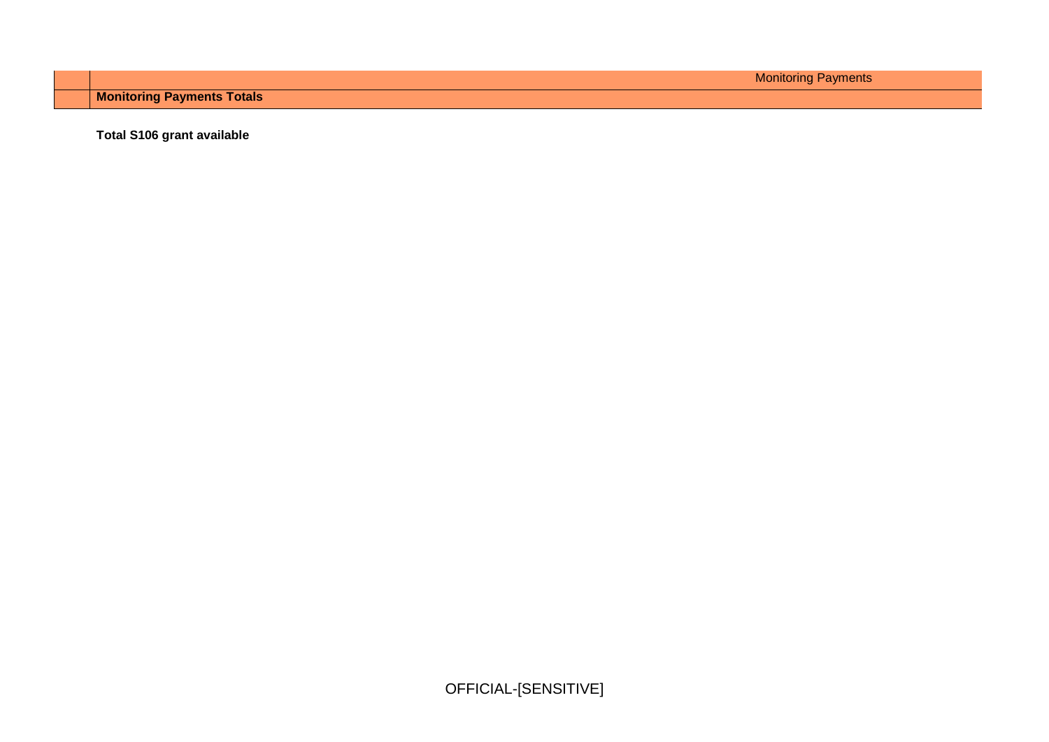Monitoring Payments

**Monitoring Payments Totals**

**Total S106 grant available**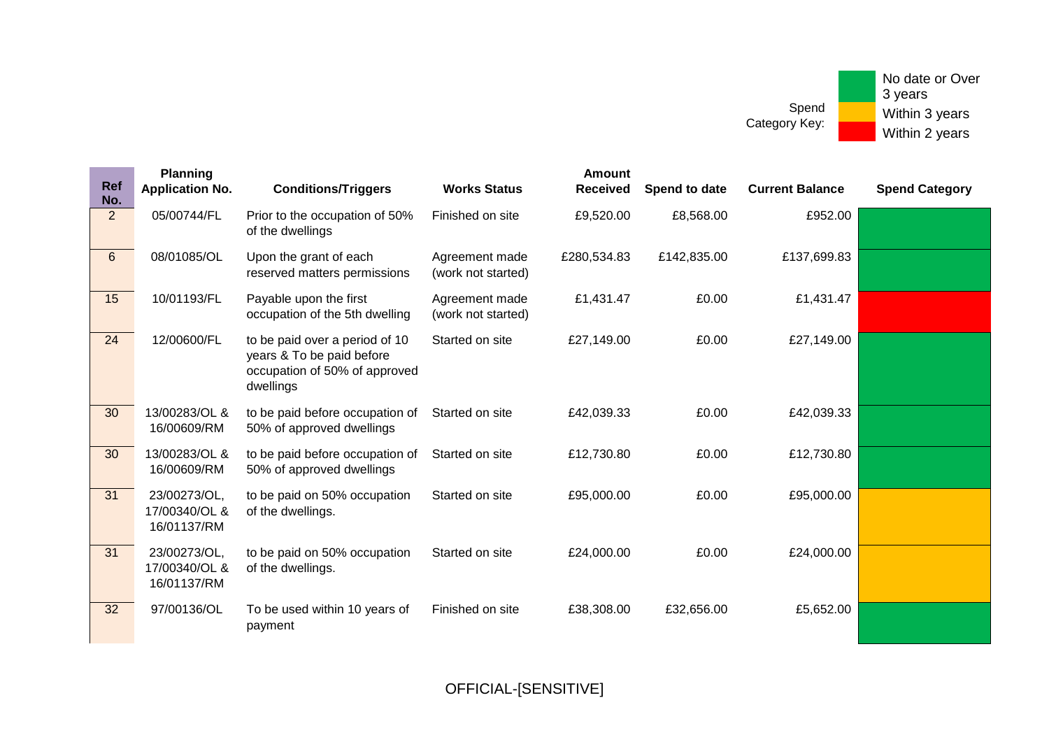| <b>Ref</b><br>No. | <b>Planning</b><br><b>Application No.</b>    | <b>Conditions/Triggers</b>                                                                                | <b>Works Status</b>                  | <b>Amount</b><br><b>Received</b> | Spend to date | <b>Current Balance</b> | <b>Spend Category</b> |
|-------------------|----------------------------------------------|-----------------------------------------------------------------------------------------------------------|--------------------------------------|----------------------------------|---------------|------------------------|-----------------------|
| $\overline{2}$    | 05/00744/FL                                  | Prior to the occupation of 50%<br>of the dwellings                                                        | Finished on site                     | £9,520.00                        | £8,568.00     | £952.00                |                       |
| $6\phantom{1}$    | 08/01085/OL                                  | Upon the grant of each<br>reserved matters permissions                                                    | Agreement made<br>(work not started) | £280,534.83                      | £142,835.00   | £137,699.83            |                       |
| 15                | 10/01193/FL                                  | Payable upon the first<br>occupation of the 5th dwelling                                                  | Agreement made<br>(work not started) | £1,431.47                        | £0.00         | £1,431.47              |                       |
| 24                | 12/00600/FL                                  | to be paid over a period of 10<br>years & To be paid before<br>occupation of 50% of approved<br>dwellings | Started on site                      | £27,149.00                       | £0.00         | £27,149.00             |                       |
| 30                | 13/00283/OL &<br>16/00609/RM                 | to be paid before occupation of<br>50% of approved dwellings                                              | Started on site                      | £42,039.33                       | £0.00         | £42,039.33             |                       |
| 30                | 13/00283/OL &<br>16/00609/RM                 | to be paid before occupation of<br>50% of approved dwellings                                              | Started on site                      | £12,730.80                       | £0.00         | £12,730.80             |                       |
| 31                | 23/00273/OL,<br>17/00340/OL &<br>16/01137/RM | to be paid on 50% occupation<br>of the dwellings.                                                         | Started on site                      | £95,000.00                       | £0.00         | £95,000.00             |                       |
| 31                | 23/00273/OL,<br>17/00340/OL &<br>16/01137/RM | to be paid on 50% occupation<br>of the dwellings.                                                         | Started on site                      | £24,000.00                       | £0.00         | £24,000.00             |                       |
| 32                | 97/00136/OL                                  | To be used within 10 years of<br>payment                                                                  | Finished on site                     | £38,308.00                       | £32,656.00    | £5,652.00              |                       |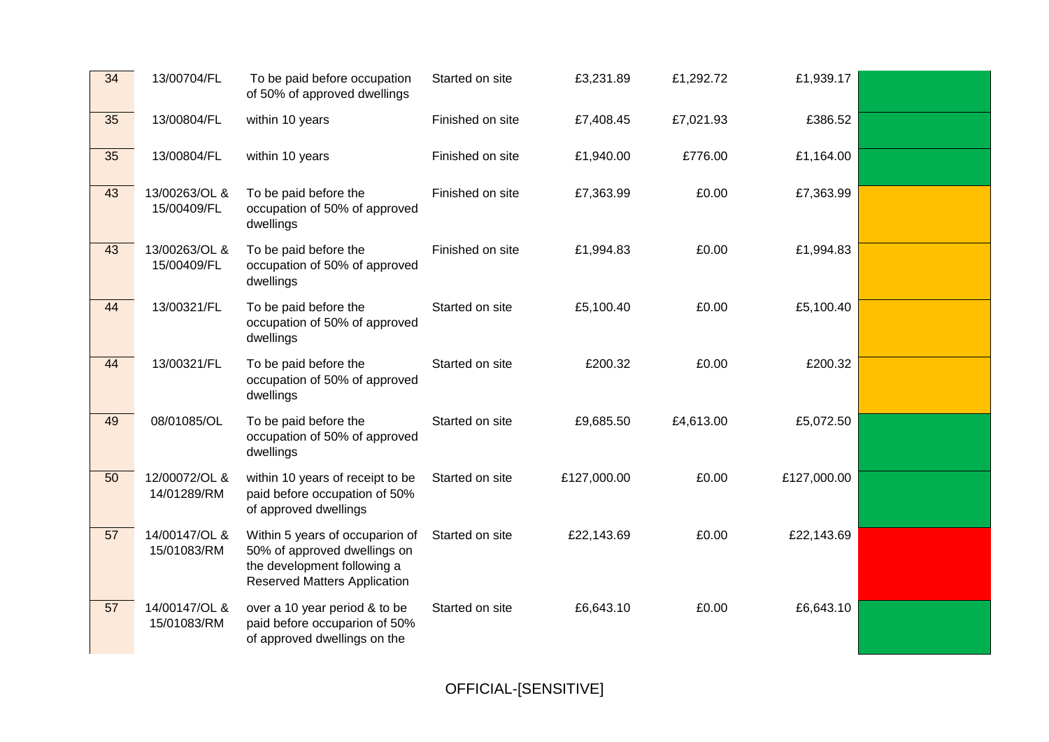| 34 | 13/00704/FL                  | To be paid before occupation<br>of 50% of approved dwellings                                                                          | Started on site  | £3,231.89   | £1,292.72 | £1,939.17   |  |
|----|------------------------------|---------------------------------------------------------------------------------------------------------------------------------------|------------------|-------------|-----------|-------------|--|
| 35 | 13/00804/FL                  | within 10 years                                                                                                                       | Finished on site | £7,408.45   | £7,021.93 | £386.52     |  |
| 35 | 13/00804/FL                  | within 10 years                                                                                                                       | Finished on site | £1,940.00   | £776.00   | £1,164.00   |  |
| 43 | 13/00263/OL &<br>15/00409/FL | To be paid before the<br>occupation of 50% of approved<br>dwellings                                                                   | Finished on site | £7,363.99   | £0.00     | £7,363.99   |  |
| 43 | 13/00263/OL &<br>15/00409/FL | To be paid before the<br>occupation of 50% of approved<br>dwellings                                                                   | Finished on site | £1,994.83   | £0.00     | £1,994.83   |  |
| 44 | 13/00321/FL                  | To be paid before the<br>occupation of 50% of approved<br>dwellings                                                                   | Started on site  | £5,100.40   | £0.00     | £5,100.40   |  |
| 44 | 13/00321/FL                  | To be paid before the<br>occupation of 50% of approved<br>dwellings                                                                   | Started on site  | £200.32     | £0.00     | £200.32     |  |
| 49 | 08/01085/OL                  | To be paid before the<br>occupation of 50% of approved<br>dwellings                                                                   | Started on site  | £9,685.50   | £4,613.00 | £5,072.50   |  |
| 50 | 12/00072/OL &<br>14/01289/RM | within 10 years of receipt to be<br>paid before occupation of 50%<br>of approved dwellings                                            | Started on site  | £127,000.00 | £0.00     | £127,000.00 |  |
| 57 | 14/00147/OL &<br>15/01083/RM | Within 5 years of occuparion of<br>50% of approved dwellings on<br>the development following a<br><b>Reserved Matters Application</b> | Started on site  | £22,143.69  | £0.00     | £22,143.69  |  |
| 57 | 14/00147/OL &<br>15/01083/RM | over a 10 year period & to be<br>paid before occuparion of 50%<br>of approved dwellings on the                                        | Started on site  | £6,643.10   | £0.00     | £6,643.10   |  |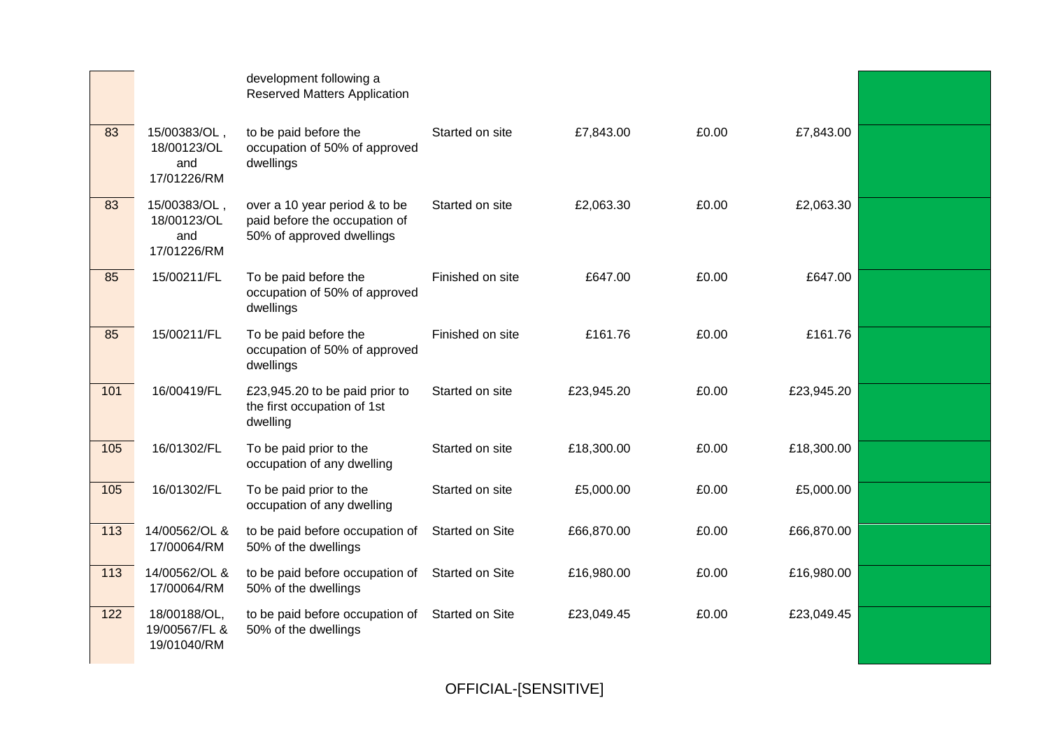|                   |                                                   | development following a<br><b>Reserved Matters Application</b>                              |                  |            |       |            |  |
|-------------------|---------------------------------------------------|---------------------------------------------------------------------------------------------|------------------|------------|-------|------------|--|
| 83                | 15/00383/OL,<br>18/00123/OL<br>and<br>17/01226/RM | to be paid before the<br>occupation of 50% of approved<br>dwellings                         | Started on site  | £7,843.00  | £0.00 | £7,843.00  |  |
| 83                | 15/00383/OL,<br>18/00123/OL<br>and<br>17/01226/RM | over a 10 year period & to be<br>paid before the occupation of<br>50% of approved dwellings | Started on site  | £2,063.30  | £0.00 | £2,063.30  |  |
| 85                | 15/00211/FL                                       | To be paid before the<br>occupation of 50% of approved<br>dwellings                         | Finished on site | £647.00    | £0.00 | £647.00    |  |
| 85                | 15/00211/FL                                       | To be paid before the<br>occupation of 50% of approved<br>dwellings                         | Finished on site | £161.76    | £0.00 | £161.76    |  |
| $\overline{101}$  | 16/00419/FL                                       | £23,945.20 to be paid prior to<br>the first occupation of 1st<br>dwelling                   | Started on site  | £23,945.20 | £0.00 | £23,945.20 |  |
| $\frac{105}{105}$ | 16/01302/FL                                       | To be paid prior to the<br>occupation of any dwelling                                       | Started on site  | £18,300.00 | £0.00 | £18,300.00 |  |
| $\frac{105}{105}$ | 16/01302/FL                                       | To be paid prior to the<br>occupation of any dwelling                                       | Started on site  | £5,000.00  | £0.00 | £5,000.00  |  |
| 113               | 14/00562/OL &<br>17/00064/RM                      | to be paid before occupation of<br>50% of the dwellings                                     | Started on Site  | £66,870.00 | £0.00 | £66,870.00 |  |
| 113               | 14/00562/OL &<br>17/00064/RM                      | to be paid before occupation of<br>50% of the dwellings                                     | Started on Site  | £16,980.00 | £0.00 | £16,980.00 |  |
| 122               | 18/00188/OL,<br>19/00567/FL &<br>19/01040/RM      | to be paid before occupation of<br>50% of the dwellings                                     | Started on Site  | £23,049.45 | £0.00 | £23,049.45 |  |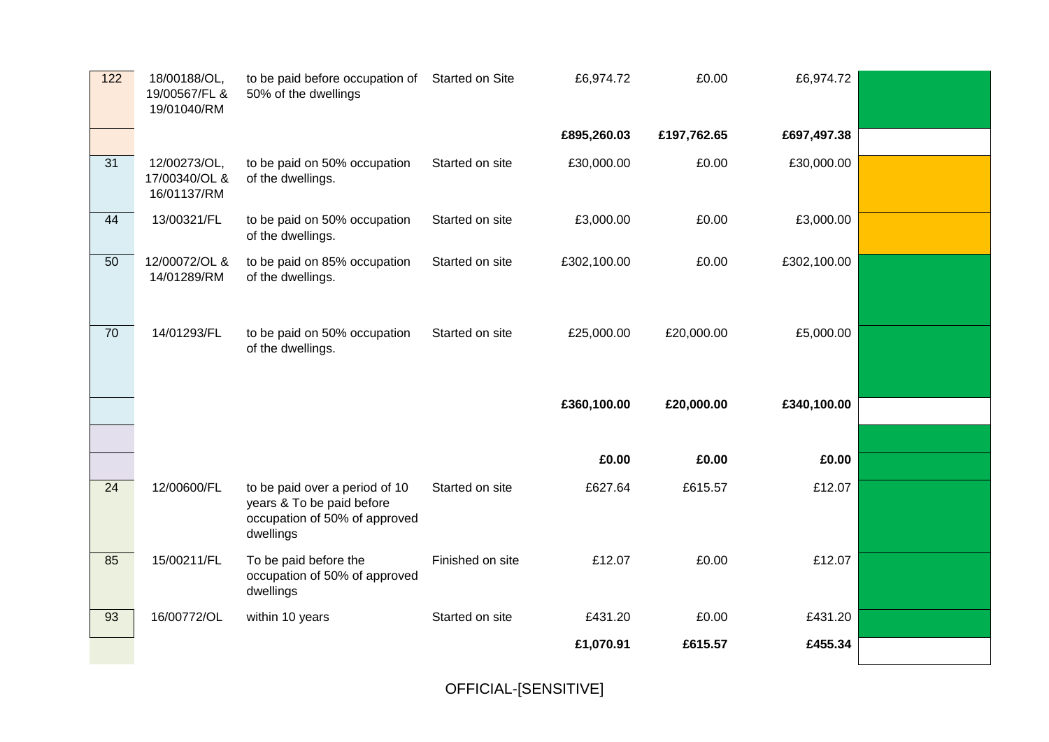| 122             | 18/00188/OL,<br>19/00567/FL &<br>19/01040/RM | to be paid before occupation of Started on Site<br>50% of the dwellings                                   |                  | £6,974.72   | £0.00       | £6,974.72   |  |
|-----------------|----------------------------------------------|-----------------------------------------------------------------------------------------------------------|------------------|-------------|-------------|-------------|--|
|                 |                                              |                                                                                                           |                  | £895,260.03 | £197,762.65 | £697,497.38 |  |
| $\overline{31}$ | 12/00273/OL,<br>17/00340/OL &<br>16/01137/RM | to be paid on 50% occupation<br>of the dwellings.                                                         | Started on site  | £30,000.00  | £0.00       | £30,000.00  |  |
| 44              | 13/00321/FL                                  | to be paid on 50% occupation<br>of the dwellings.                                                         | Started on site  | £3,000.00   | £0.00       | £3,000.00   |  |
| 50              | 12/00072/OL &<br>14/01289/RM                 | to be paid on 85% occupation<br>of the dwellings.                                                         | Started on site  | £302,100.00 | £0.00       | £302,100.00 |  |
| 70              | 14/01293/FL                                  | to be paid on 50% occupation<br>of the dwellings.                                                         | Started on site  | £25,000.00  | £20,000.00  | £5,000.00   |  |
|                 |                                              |                                                                                                           |                  | £360,100.00 | £20,000.00  | £340,100.00 |  |
|                 |                                              |                                                                                                           |                  |             |             |             |  |
|                 |                                              |                                                                                                           |                  | £0.00       | £0.00       | £0.00       |  |
| $\overline{24}$ | 12/00600/FL                                  | to be paid over a period of 10<br>years & To be paid before<br>occupation of 50% of approved<br>dwellings | Started on site  | £627.64     | £615.57     | £12.07      |  |
| 85              | 15/00211/FL                                  | To be paid before the<br>occupation of 50% of approved                                                    | Finished on site | £12.07      | £0.00       | £12.07      |  |
|                 |                                              | dwellings                                                                                                 |                  |             |             |             |  |
| 93              | 16/00772/OL                                  | within 10 years                                                                                           | Started on site  | £431.20     | £0.00       | £431.20     |  |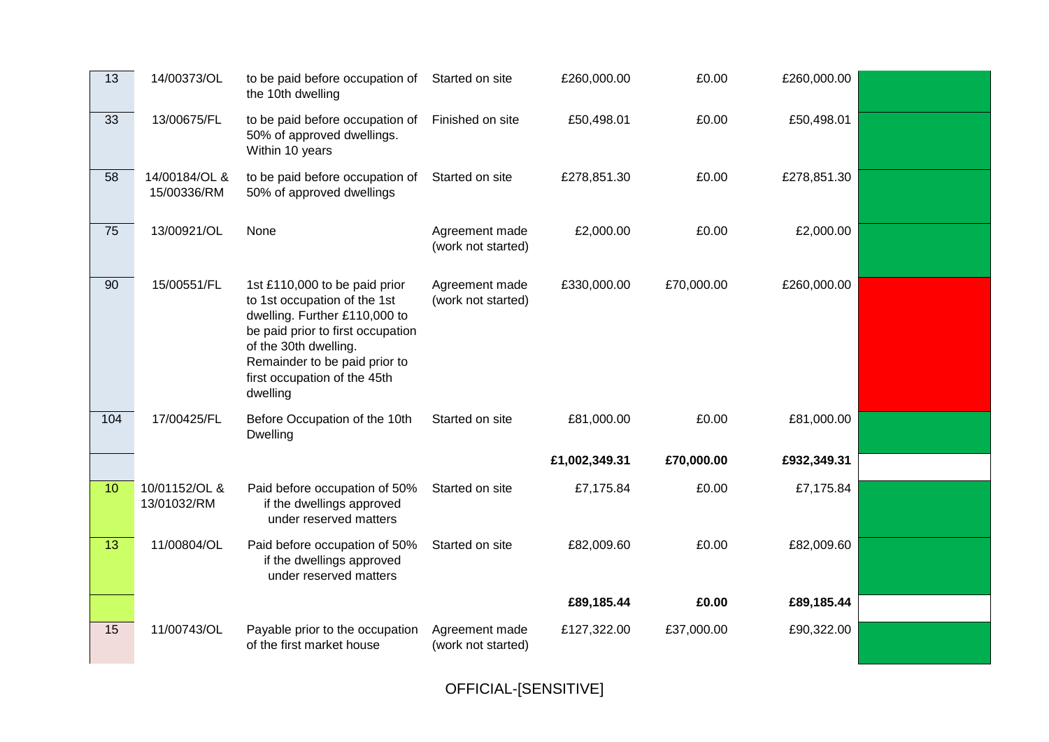| 13  | 14/00373/OL                  | to be paid before occupation of Started on site<br>the 10th dwelling                                                                                                                                                                      |                                      | £260,000.00   | £0.00      | £260,000.00 |  |
|-----|------------------------------|-------------------------------------------------------------------------------------------------------------------------------------------------------------------------------------------------------------------------------------------|--------------------------------------|---------------|------------|-------------|--|
| 33  | 13/00675/FL                  | to be paid before occupation of<br>50% of approved dwellings.<br>Within 10 years                                                                                                                                                          | Finished on site                     | £50,498.01    | £0.00      | £50,498.01  |  |
| 58  | 14/00184/OL &<br>15/00336/RM | to be paid before occupation of<br>50% of approved dwellings                                                                                                                                                                              | Started on site                      | £278,851.30   | £0.00      | £278,851.30 |  |
| 75  | 13/00921/OL                  | None                                                                                                                                                                                                                                      | Agreement made<br>(work not started) | £2,000.00     | £0.00      | £2,000.00   |  |
| 90  | 15/00551/FL                  | 1st £110,000 to be paid prior<br>to 1st occupation of the 1st<br>dwelling. Further £110,000 to<br>be paid prior to first occupation<br>of the 30th dwelling.<br>Remainder to be paid prior to<br>first occupation of the 45th<br>dwelling | Agreement made<br>(work not started) | £330,000.00   | £70,000.00 | £260,000.00 |  |
| 104 | 17/00425/FL                  | Before Occupation of the 10th<br><b>Dwelling</b>                                                                                                                                                                                          | Started on site                      | £81,000.00    | £0.00      | £81,000.00  |  |
|     |                              |                                                                                                                                                                                                                                           |                                      | £1,002,349.31 | £70,000.00 | £932,349.31 |  |
| 10  | 10/01152/OL &<br>13/01032/RM | Paid before occupation of 50%<br>if the dwellings approved<br>under reserved matters                                                                                                                                                      | Started on site                      | £7,175.84     | £0.00      | £7,175.84   |  |
| 13  | 11/00804/OL                  | Paid before occupation of 50%<br>if the dwellings approved<br>under reserved matters                                                                                                                                                      | Started on site                      | £82,009.60    | £0.00      | £82,009.60  |  |
|     |                              |                                                                                                                                                                                                                                           |                                      | £89,185.44    | £0.00      | £89,185.44  |  |
| 15  | 11/00743/OL                  | Payable prior to the occupation<br>of the first market house                                                                                                                                                                              | Agreement made<br>(work not started) | £127,322.00   | £37,000.00 | £90,322.00  |  |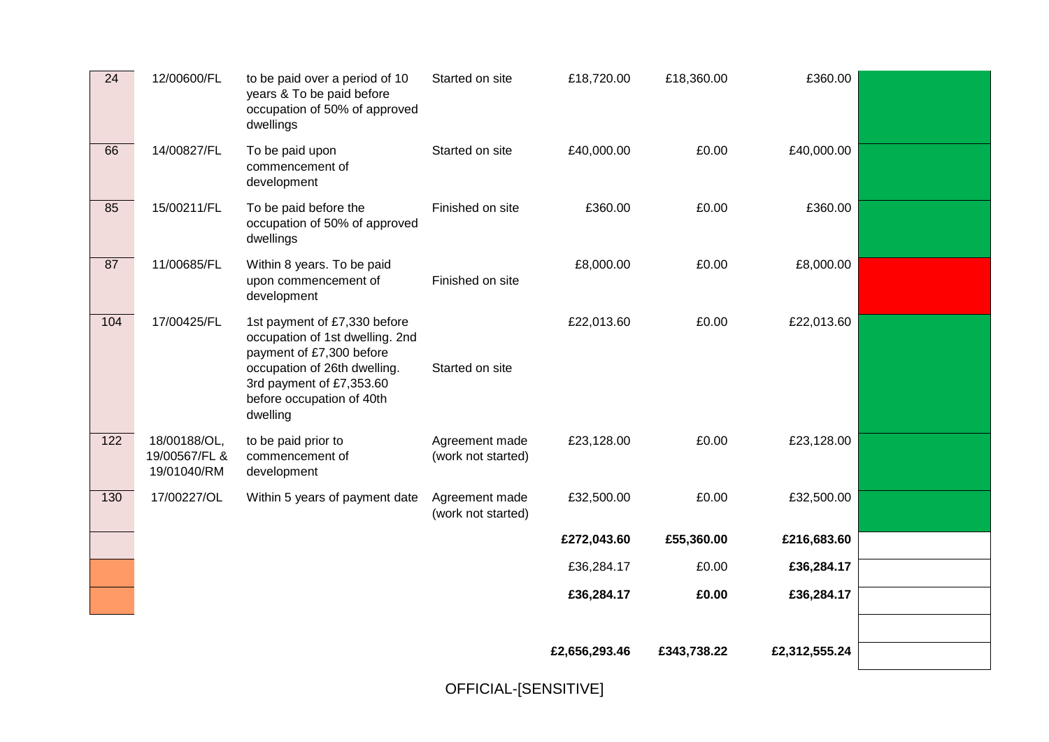| $\overline{24}$ | 12/00600/FL                                  | to be paid over a period of 10<br>years & To be paid before<br>occupation of 50% of approved<br>dwellings                                                                                        | Started on site                      | £18,720.00    | £18,360.00  | £360.00       |  |
|-----------------|----------------------------------------------|--------------------------------------------------------------------------------------------------------------------------------------------------------------------------------------------------|--------------------------------------|---------------|-------------|---------------|--|
| 66              | 14/00827/FL                                  | To be paid upon<br>commencement of<br>development                                                                                                                                                | Started on site                      | £40,000.00    | £0.00       | £40,000.00    |  |
| 85              | 15/00211/FL                                  | To be paid before the<br>occupation of 50% of approved<br>dwellings                                                                                                                              | Finished on site                     | £360.00       | £0.00       | £360.00       |  |
| 87              | 11/00685/FL                                  | Within 8 years. To be paid<br>upon commencement of<br>development                                                                                                                                | Finished on site                     | £8,000.00     | £0.00       | £8,000.00     |  |
| 104             | 17/00425/FL                                  | 1st payment of £7,330 before<br>occupation of 1st dwelling. 2nd<br>payment of £7,300 before<br>occupation of 26th dwelling.<br>3rd payment of £7,353.60<br>before occupation of 40th<br>dwelling | Started on site                      | £22,013.60    | £0.00       | £22,013.60    |  |
| 122             | 18/00188/OL,<br>19/00567/FL &<br>19/01040/RM | to be paid prior to<br>commencement of<br>development                                                                                                                                            | Agreement made<br>(work not started) | £23,128.00    | £0.00       | £23,128.00    |  |
| 130             | 17/00227/OL                                  | Within 5 years of payment date                                                                                                                                                                   | Agreement made<br>(work not started) | £32,500.00    | £0.00       | £32,500.00    |  |
|                 |                                              |                                                                                                                                                                                                  |                                      | £272,043.60   | £55,360.00  | £216,683.60   |  |
|                 |                                              |                                                                                                                                                                                                  |                                      | £36,284.17    | £0.00       | £36,284.17    |  |
|                 |                                              |                                                                                                                                                                                                  |                                      | £36,284.17    | £0.00       | £36,284.17    |  |
|                 |                                              |                                                                                                                                                                                                  |                                      |               |             |               |  |
|                 |                                              |                                                                                                                                                                                                  |                                      | £2,656,293.46 | £343,738.22 | £2,312,555.24 |  |